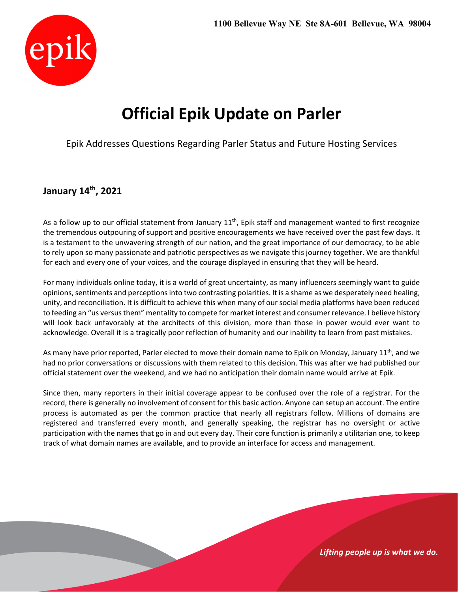

# **Official Epik Update on Parler**

Epik Addresses Questions Regarding Parler Status and Future Hosting Services

## **January 14th, 2021**

As a follow up to our official statement from January  $11<sup>th</sup>$ , Epik staff and management wanted to first recognize the tremendous outpouring of support and positive encouragements we have received over the past few days. It is a testament to the unwavering strength of our nation, and the great importance of our democracy, to be able to rely upon so many passionate and patriotic perspectives as we navigate this journey together. We are thankful for each and every one of your voices, and the courage displayed in ensuring that they will be heard.

For many individuals online today, it is a world of great uncertainty, as many influencers seemingly want to guide opinions, sentiments and perceptions into two contrasting polarities. It is a shame as we desperately need healing, unity, and reconciliation. It is difficult to achieve this when many of our social media platforms have been reduced to feeding an "us versus them" mentality to compete for market interest and consumer relevance. I believe history will look back unfavorably at the architects of this division, more than those in power would ever want to acknowledge. Overall it is a tragically poor reflection of humanity and our inability to learn from past mistakes.

As many have prior reported, Parler elected to move their domain name to Epik on Monday, January 11<sup>th</sup>, and we had no prior conversations or discussions with them related to this decision. This was after we had published our official statement over the weekend, and we had no anticipation their domain name would arrive at Epik.

Since then, many reporters in their initial coverage appear to be confused over the role of a registrar. For the record, there is generally no involvement of consent for this basic action. Anyone can setup an account. The entire process is automated as per the common practice that nearly all registrars follow. Millions of domains are registered and transferred every month, and generally speaking, the registrar has no oversight or active participation with the namesthat go in and out every day. Their core function is primarily a utilitarian one, to keep track of what domain names are available, and to provide an interface for access and management.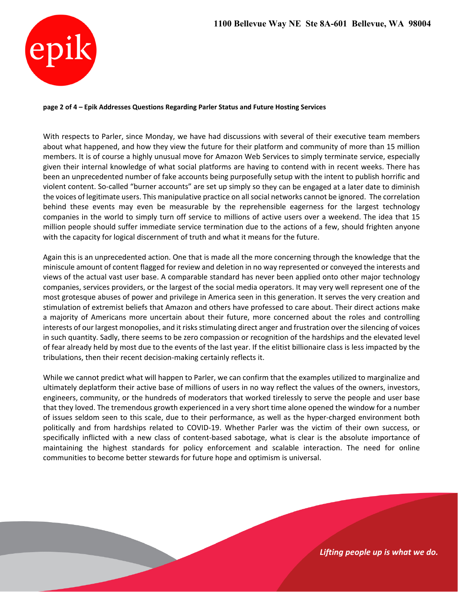

#### **page 2 of 4 – Epik Addresses Questions Regarding Parler Status and Future Hosting Services**

With respects to Parler, since Monday, we have had discussions with several of their executive team members about what happened, and how they view the future for their platform and community of more than 15 million members. It is of course a highly unusual move for Amazon Web Services to simply terminate service, especially given their internal knowledge of what social platforms are having to contend with in recent weeks. There has been an unprecedented number of fake accounts being purposefully setup with the intent to publish horrific and violent content. So‐called "burner accounts" are set up simply so they can be engaged at a later date to diminish the voices of legitimate users. This manipulative practice on allsocial networks cannot be ignored. The correlation behind these events may even be measurable by the reprehensible eagerness for the largest technology companies in the world to simply turn off service to millions of active users over a weekend. The idea that 15 million people should suffer immediate service termination due to the actions of a few, should frighten anyone with the capacity for logical discernment of truth and what it means for the future.

Again this is an unprecedented action. One that is made all the more concerning through the knowledge that the miniscule amount of content flagged for review and deletion in no way represented or conveyed the interests and views of the actual vast user base. A comparable standard has never been applied onto other major technology companies, services providers, or the largest of the social media operators. It may very well represent one of the most grotesque abuses of power and privilege in America seen in this generation. It serves the very creation and stimulation of extremist beliefs that Amazon and others have professed to care about. Their direct actions make a majority of Americans more uncertain about their future, more concerned about the roles and controlling interests of our largest monopolies, and it risks stimulating direct anger and frustration over the silencing of voices in such quantity. Sadly, there seems to be zero compassion or recognition of the hardships and the elevated level of fear already held by most due to the events of the last year. If the elitist billionaire class is less impacted by the tribulations, then their recent decision‐making certainly reflects it.

While we cannot predict what will happen to Parler, we can confirm that the examples utilized to marginalize and ultimately deplatform their active base of millions of users in no way reflect the values of the owners, investors, engineers, community, or the hundreds of moderators that worked tirelessly to serve the people and user base that they loved. The tremendous growth experienced in a very short time alone opened the window for a number of issues seldom seen to this scale, due to their performance, as well as the hyper‐charged environment both politically and from hardships related to COVID‐19. Whether Parler was the victim of their own success, or specifically inflicted with a new class of content‐based sabotage, what is clear is the absolute importance of maintaining the highest standards for policy enforcement and scalable interaction. The need for online communities to become better stewards for future hope and optimism is universal.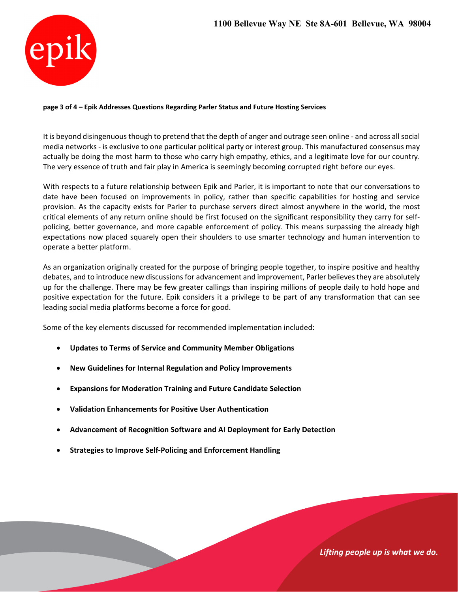

### **page 3 of 4 – Epik Addresses Questions Regarding Parler Status and Future Hosting Services**

It is beyond disingenuous though to pretend that the depth of anger and outrage seen online - and across all social media networks ‐ is exclusive to one particular political party or interest group. This manufactured consensus may actually be doing the most harm to those who carry high empathy, ethics, and a legitimate love for our country. The very essence of truth and fair play in America is seemingly becoming corrupted right before our eyes.

With respects to a future relationship between Epik and Parler, it is important to note that our conversations to date have been focused on improvements in policy, rather than specific capabilities for hosting and service provision. As the capacity exists for Parler to purchase servers direct almost anywhere in the world, the most critical elements of any return online should be first focused on the significant responsibility they carry for self‐ policing, better governance, and more capable enforcement of policy. This means surpassing the already high expectations now placed squarely open their shoulders to use smarter technology and human intervention to operate a better platform.

As an organization originally created for the purpose of bringing people together, to inspire positive and healthy debates, and to introduce new discussions for advancement and improvement, Parler believes they are absolutely up for the challenge. There may be few greater callings than inspiring millions of people daily to hold hope and positive expectation for the future. Epik considers it a privilege to be part of any transformation that can see leading social media platforms become a force for good.

Some of the key elements discussed for recommended implementation included:

- **Updates to Terms of Service and Community Member Obligations**
- **New Guidelines for Internal Regulation and Policy Improvements**
- **Expansions for Moderation Training and Future Candidate Selection**
- **Validation Enhancements for Positive User Authentication**
- **Advancement of Recognition Software and AI Deployment for Early Detection**
- **Strategies to Improve Self‐Policing and Enforcement Handling**